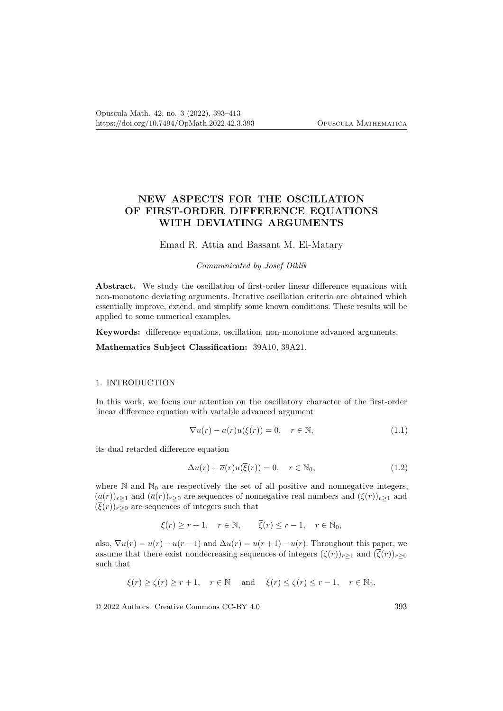# **NEW ASPECTS FOR THE OSCILLATION OF FIRST-ORDER DIFFERENCE EQUATIONS WITH DEVIATING ARGUMENTS**

Emad R. Attia and Bassant M. El-Matary

*Communicated by Josef Diblík*

**Abstract.** We study the oscillation of first-order linear difference equations with non-monotone deviating arguments. Iterative oscillation criteria are obtained which essentially improve, extend, and simplify some known conditions. These results will be applied to some numerical examples.

**Keywords:** difference equations, oscillation, non-monotone advanced arguments.

**Mathematics Subject Classification:** 39A10, 39A21.

## 1. INTRODUCTION

In this work, we focus our attention on the oscillatory character of the first-order linear difference equation with variable advanced argument

$$
\nabla u(r) - a(r)u(\xi(r)) = 0, \quad r \in \mathbb{N}, \tag{1.1}
$$

its dual retarded difference equation

$$
\Delta u(r) + \overline{a}(r)u(\overline{\xi}(r)) = 0, \quad r \in \mathbb{N}_0,
$$
\n(1.2)

where  $\mathbb N$  and  $\mathbb N_0$  are respectively the set of all positive and nonnegative integers,  $(a(r))_{r>1}$  and  $(\bar{a}(r))_{r>0}$  are sequences of nonnegative real numbers and  $(\xi(r))_{r>1}$  and  $(\overline{\xi}(r))_{r>0}$  are sequences of integers such that

 $\xi(r) \ge r + 1$ ,  $r \in \mathbb{N}$ ,  $\overline{\xi}(r) \le r - 1$ ,  $r \in \mathbb{N}_0$ ,

also,  $\nabla u(r) = u(r) - u(r-1)$  and  $\Delta u(r) = u(r+1) - u(r)$ . Throughout this paper, we assume that there exist nondecreasing sequences of integers  $(\zeta(r))_{r>1}$  and  $(\overline{\zeta}(r))_{r>0}$ such that

$$
\xi(r) \ge \zeta(r) \ge r+1
$$
,  $r \in \mathbb{N}$  and  $\overline{\xi}(r) \le \overline{\zeta}(r) \le r-1$ ,  $r \in \mathbb{N}_0$ .

© 2022 Authors. Creative Commons CC-BY 4.0 393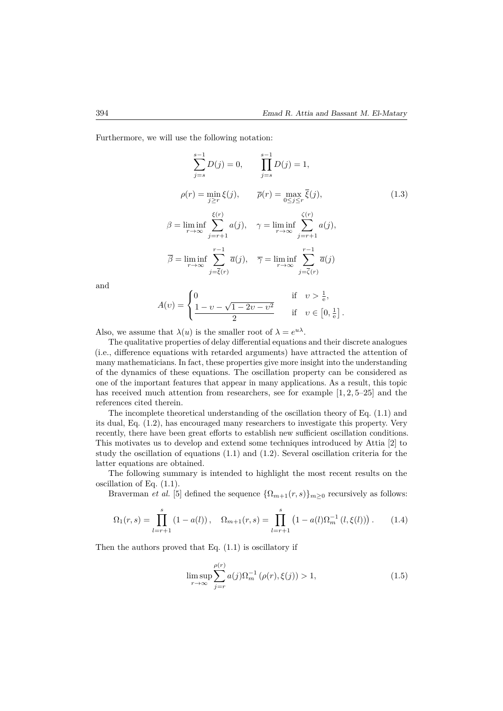Furthermore, we will use the following notation:

$$
\sum_{j=s}^{s-1} D(j) = 0, \qquad \prod_{j=s}^{s-1} D(j) = 1,
$$
  
\n
$$
\rho(r) = \min_{j \ge r} \xi(j), \qquad \overline{\rho}(r) = \max_{0 \le j \le r} \overline{\xi}(j),
$$
  
\n
$$
\beta = \liminf_{r \to \infty} \sum_{j=r+1}^{\xi(r)} a(j), \qquad \gamma = \liminf_{r \to \infty} \sum_{j=r+1}^{\zeta(r)} a(j),
$$
  
\n
$$
\overline{\beta} = \liminf_{r \to \infty} \sum_{j=\overline{\xi}(r)}^{r-1} \overline{a}(j), \qquad \overline{\gamma} = \liminf_{r \to \infty} \sum_{j=\overline{\zeta}(r)}^{r-1} \overline{a}(j)
$$
  
\n(1.3)

and

$$
A(v) = \begin{cases} 0 & \text{if } v > \frac{1}{e}, \\ \frac{1 - v - \sqrt{1 - 2v - v^2}}{2} & \text{if } v \in [0, \frac{1}{e}]. \end{cases}
$$

Also, we assume that  $\lambda(u)$  is the smaller root of  $\lambda = e^{u\lambda}$ .

The qualitative properties of delay differential equations and their discrete analogues (i.e., difference equations with retarded arguments) have attracted the attention of many mathematicians. In fact, these properties give more insight into the understanding of the dynamics of these equations. The oscillation property can be considered as one of the important features that appear in many applications. As a result, this topic has received much attention from researchers, see for example  $[1, 2, 5-25]$  and the references cited therein.

The incomplete theoretical understanding of the oscillation theory of Eq. (1.1) and its dual, Eq. (1.2), has encouraged many researchers to investigate this property. Very recently, there have been great efforts to establish new sufficient oscillation conditions. This motivates us to develop and extend some techniques introduced by Attia [2] to study the oscillation of equations (1.1) and (1.2). Several oscillation criteria for the latter equations are obtained.

The following summary is intended to highlight the most recent results on the oscillation of Eq. (1.1).

Braverman *et al.* [5] defined the sequence  $\{\Omega_{m+1}(r,s)\}_{m>0}$  recursively as follows:

$$
\Omega_1(r,s) = \prod_{l=r+1}^s (1 - a(l)), \quad \Omega_{m+1}(r,s) = \prod_{l=r+1}^s (1 - a(l)\Omega_m^{-1}(l,\xi(l))). \tag{1.4}
$$

Then the authors proved that Eq.  $(1.1)$  is oscillatory if

$$
\limsup_{r \to \infty} \sum_{j=r}^{\rho(r)} a(j) \Omega_m^{-1} (\rho(r), \xi(j)) > 1,
$$
\n(1.5)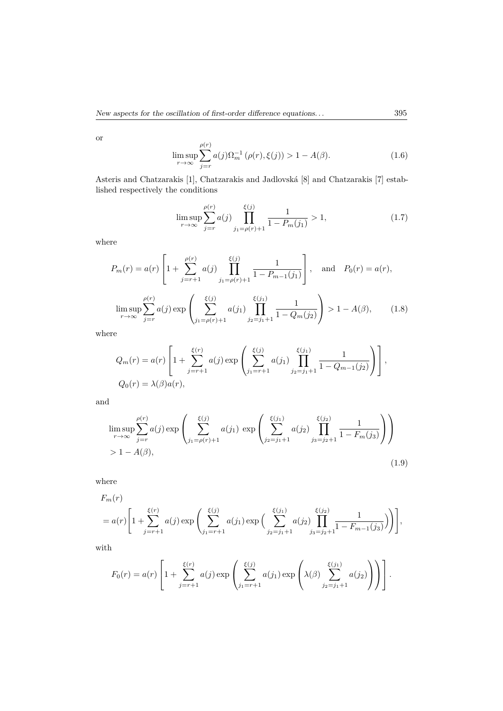or

$$
\limsup_{r \to \infty} \sum_{j=r}^{\rho(r)} a(j) \Omega_m^{-1} (\rho(r), \xi(j)) > 1 - A(\beta).
$$
 (1.6)

Asteris and Chatzarakis [1], Chatzarakis and Jadlovská [8] and Chatzarakis [7] established respectively the conditions

$$
\limsup_{r \to \infty} \sum_{j=r}^{\rho(r)} a(j) \prod_{j_1 = \rho(r)+1}^{\xi(j)} \frac{1}{1 - P_m(j_1)} > 1,
$$
\n(1.7)

where

$$
P_m(r) = a(r) \left[ 1 + \sum_{j=r+1}^{\rho(r)} a(j) \prod_{j_1=\rho(r)+1}^{\xi(j)} \frac{1}{1 - P_{m-1}(j_1)} \right], \text{ and } P_0(r) = a(r),
$$
  

$$
\limsup_{r \to \infty} \sum_{j=r}^{\rho(r)} a(j) \exp \left( \sum_{j_1=\rho(r)+1}^{\xi(j)} a(j_1) \prod_{j_2=j_1+1}^{\xi(j_1)} \frac{1}{1 - Q_m(j_2)} \right) > 1 - A(\beta), \quad (1.8)
$$

where

$$
Q_m(r) = a(r) \left[ 1 + \sum_{j=r+1}^{\xi(r)} a(j) \exp \left( \sum_{j_1=r+1}^{\xi(j)} a(j_1) \prod_{j_2=j_1+1}^{\xi(j_1)} \frac{1}{1 - Q_{m-1}(j_2)} \right) \right],
$$
  

$$
Q_0(r) = \lambda(\beta) a(r),
$$

and

$$
\limsup_{r \to \infty} \sum_{j=r}^{\rho(r)} a(j) \exp \left( \sum_{j_1 = \rho(r)+1}^{\xi(j)} a(j_1) \exp \left( \sum_{j_2=j_1+1}^{\xi(j_1)} a(j_2) \prod_{j_3=j_2+1}^{\xi(j_2)} \frac{1}{1 - F_m(j_3)} \right) \right)
$$
  
> 1 - A(\beta), (1.9)

where

$$
F_m(r)
$$
  
=  $a(r) \left[ 1 + \sum_{j=r+1}^{\xi(r)} a(j) \exp \left( \sum_{j_1=r+1}^{\xi(j)} a(j_1) \exp \left( \sum_{j_2=j_1+1}^{\xi(j_1)} a(j_2) \prod_{j_3=j_2+1}^{\xi(j_2)} \frac{1}{1 - F_{m-1}(j_3)} \right) \right) \right],$ 

with

$$
F_0(r) = a(r) \left[ 1 + \sum_{j=r+1}^{\xi(r)} a(j) \exp \left( \sum_{j_1=r+1}^{\xi(j)} a(j_1) \exp \left( \lambda(\beta) \sum_{j_2=j_1+1}^{\xi(j_1)} a(j_2) \right) \right) \right].
$$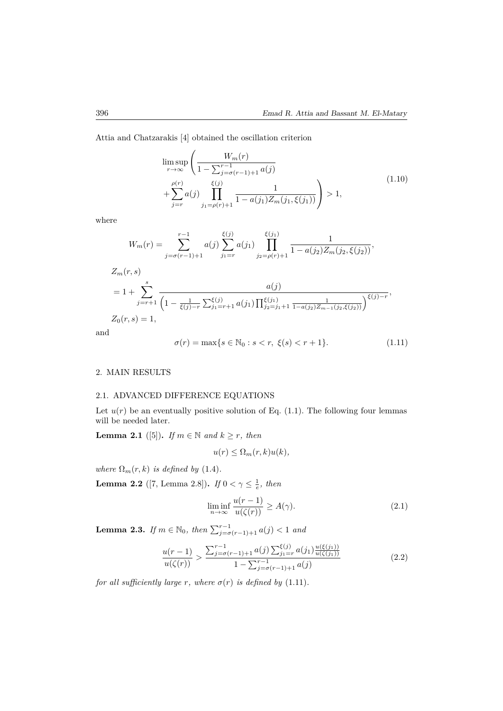Attia and Chatzarakis [4] obtained the oscillation criterion

$$
\limsup_{r \to \infty} \left( \frac{W_m(r)}{1 - \sum_{j=\sigma(r-1)+1}^{r-1} a(j)} + \sum_{j=r}^{\rho(r)} a(j) \prod_{j_1=\rho(r)+1}^{\xi(j)} \frac{1}{1 - a(j_1) Z_m(j_1, \xi(j_1))} \right) > 1,
$$
\n(1.10)

where

$$
W_m(r) = \sum_{j=\sigma(r-1)+1}^{r-1} a(j) \sum_{j_1=r}^{\xi(j)} a(j_1) \prod_{j_2=\rho(r)+1}^{\xi(j_1)} \frac{1}{1 - a(j_2)Z_m(j_2, \xi(j_2))},
$$
  
\n
$$
Z_m(r, s)
$$
  
\n
$$
= 1 + \sum_{j=r+1}^s \frac{a(j)}{\left(1 - \frac{1}{\xi(j)-r} \sum_{j_1=r+1}^{\xi(j)} a(j_1) \prod_{j_2=j_1+1}^{\xi(j_1)} \frac{1}{1 - a(j_2)Z_{m-1}(j_2, \xi(j_2))}\right)} \xi(j-r),
$$
  
\n
$$
Z_0(r, s) = 1,
$$

and

$$
\sigma(r) = \max\{s \in \mathbb{N}_0 : s < r, \ \xi(s) < r + 1\}.\tag{1.11}
$$

#### 2. MAIN RESULTS

### 2.1. ADVANCED DIFFERENCE EQUATIONS

Let  $u(r)$  be an eventually positive solution of Eq. (1.1). The following four lemmas will be needed later.

**Lemma 2.1** ([5]). *If*  $m \in \mathbb{N}$  *and*  $k \geq r$ *, then* 

$$
u(r) \leq \Omega_m(r,k)u(k),
$$

*where*  $\Omega_m(r, k)$  *is defined by* (1.4)*.* 

**Lemma 2.2** ([7, Lemma 2.8]). *If*  $0 < \gamma \le \frac{1}{e}$ , then

$$
\liminf_{n \to \infty} \frac{u(r-1)}{u(\zeta(r))} \ge A(\gamma). \tag{2.1}
$$

**Lemma 2.3.** *If*  $m \in \mathbb{N}_0$ , *then*  $\sum_{j=\sigma(r-1)+1}^{r-1} a(j) < 1$  *and* 

$$
\frac{u(r-1)}{u(\zeta(r))} > \frac{\sum_{j=\sigma(r-1)+1}^{r-1} a(j) \sum_{j_1=r}^{\zeta(j)} a(j_1) \frac{u(\zeta(j_1))}{u(\zeta(j_1))}}{1 - \sum_{j=\sigma(r-1)+1}^{r-1} a(j)} \tag{2.2}
$$

*for all sufficiently large r, where*  $\sigma(r)$  *is defined by* (1.11)*.*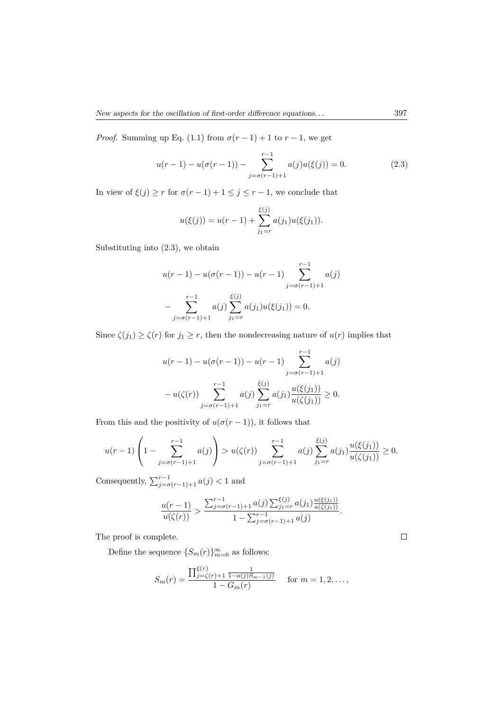*Proof.* Summing up Eq. (1.1) from  $\sigma(r-1) + 1$  to  $r-1$ , we get

$$
u(r-1) - u(\sigma(r-1)) - \sum_{j=\sigma(r-1)+1}^{r-1} a(j)u(\xi(j)) = 0.
$$
 (2.3)

In view of  $\xi(j) \geq r$  for  $\sigma(r-1) + 1 \leq j \leq r-1$ , we conclude that

$$
u(\xi(j)) = u(r-1) + \sum_{j_1=r}^{\xi(j)} a(j_1)u(\xi(j_1)).
$$

Substituting into (2.3), we obtain

$$
u(r-1) - u(\sigma(r-1)) - u(r-1) \sum_{j=\sigma(r-1)+1}^{r-1} a(j)
$$

$$
- \sum_{j=\sigma(r-1)+1}^{r-1} a(j) \sum_{j_1=r}^{\xi(j)} a(j_1) u(\xi(j_1)) = 0.
$$

Since  $\zeta(j_1) \geq \zeta(r)$  for  $j_1 \geq r$ , then the nondecreasing nature of  $u(r)$  implies that

$$
u(r-1) - u(\sigma(r-1)) - u(r-1) \sum_{j=\sigma(r-1)+1}^{r-1} a(j)
$$
  

$$
- u(\zeta(r)) \sum_{j=\sigma(r-1)+1}^{r-1} a(j) \sum_{j_1=r}^{\xi(j)} a(j_1) \frac{u(\xi(j_1))}{u(\zeta(j_1))} \ge 0.
$$

From this and the positivity of  $u(\sigma(r-1))$ , it follows that

$$
u(r-1)\left(1-\sum_{j=\sigma(r-1)+1}^{r-1}a(j)\right) > u(\zeta(r))\sum_{j=\sigma(r-1)+1}^{r-1}a(j)\sum_{j_1=r}^{\xi(j)}a(j_1)\frac{u(\xi(j_1))}{u(\zeta(j_1))} \ge 0.
$$

Consequently,  $\sum_{j=\sigma}^{r-1} (r-1)+1} a(j) < 1$  and

$$
\frac{u(r-1)}{u(\zeta(r))} > \frac{\sum_{j=\sigma(r-1)+1}^{r-1} a(j) \sum_{j_1=r}^{\zeta(j)} a(j_1) \frac{u(\xi(j_1))}{u(\zeta(j_1))}}{1 - \sum_{j=\sigma(r-1)+1}^{r-1} a(j)}.
$$

The proof is complete.

Define the sequence  $\{S_m(r)\}_{m=0}^{\infty}$  as follows:

$$
S_m(r) = \frac{\prod_{j=\zeta(r)+1}^{\xi(r)} \frac{1}{1-a(j)S_{m-1}(j)}}{1-G_m(r)}
$$
 for  $m = 1, 2, ...,$ 

 $\Box$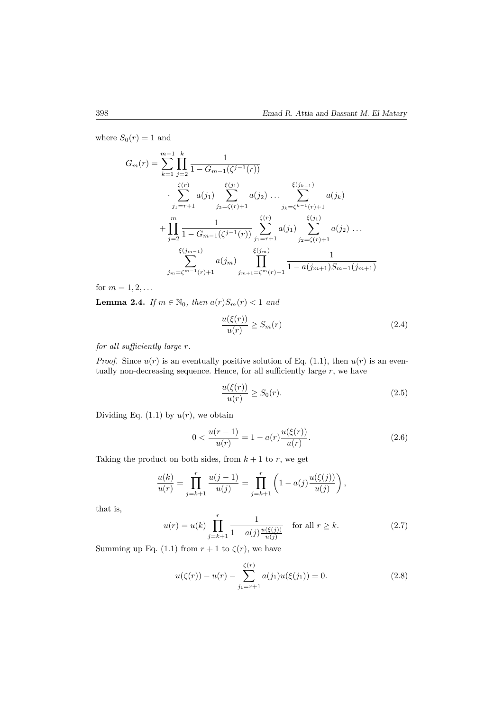where  $S_0(r) = 1$  and

$$
G_m(r) = \sum_{k=1}^{m-1} \prod_{j=2}^k \frac{1}{1 - G_{m-1}(\zeta^{j-1}(r))}
$$
  
\n
$$
\sum_{j_1=r+1}^{\zeta(r)} a(j_1) \sum_{j_2=\zeta(r)+1}^{\xi(j_1)} a(j_2) \dots \sum_{j_k=\zeta^{k-1}(r)+1}^{\xi(j_{k-1})} a(j_k)
$$
  
\n
$$
+ \prod_{j=2}^m \frac{1}{1 - G_{m-1}(\zeta^{j-1}(r))} \sum_{j_1=r+1}^{\zeta(r)} a(j_1) \sum_{j_2=\zeta(r)+1}^{\zeta(j_1)} a(j_2) \dots
$$
  
\n
$$
\sum_{j_m=\zeta^{m-1}(r)+1}^{\zeta(j_{m-1})} a(j_m) \prod_{j_{m+1}=\zeta^m(r)+1}^{\zeta(j_m)} \frac{1}{1 - a(j_{m+1})S_{m-1}(j_{m+1})}
$$

for  $m = 1, 2, ...$ 

**Lemma 2.4.** *If*  $m \in \mathbb{N}_0$ *, then*  $a(r)S_m(r) < 1$  *and* 

$$
\frac{u(\xi(r))}{u(r)} \ge S_m(r) \tag{2.4}
$$

*for all sufficiently large r.*

*Proof.* Since  $u(r)$  is an eventually positive solution of Eq. (1.1), then  $u(r)$  is an eventually non-decreasing sequence. Hence, for all sufficiently large *r*, we have

$$
\frac{u(\xi(r))}{u(r)} \ge S_0(r). \tag{2.5}
$$

Dividing Eq.  $(1.1)$  by  $u(r)$ , we obtain

$$
0 < \frac{u(r-1)}{u(r)} = 1 - a(r) \frac{u(\xi(r))}{u(r)}.\tag{2.6}
$$

Taking the product on both sides, from  $k + 1$  to r, we get

$$
\frac{u(k)}{u(r)} = \prod_{j=k+1}^r \frac{u(j-1)}{u(j)} = \prod_{j=k+1}^r \left(1 - a(j) \frac{u(\xi(j))}{u(j)}\right),
$$

that is,

$$
u(r) = u(k) \prod_{j=k+1}^{r} \frac{1}{1 - a(j) \frac{u(\xi(j))}{u(j)}} \quad \text{for all } r \ge k. \tag{2.7}
$$

Summing up Eq. (1.1) from  $r + 1$  to  $\zeta(r)$ , we have

$$
u(\zeta(r)) - u(r) - \sum_{j_1 = r+1}^{\zeta(r)} a(j_1)u(\xi(j_1)) = 0.
$$
 (2.8)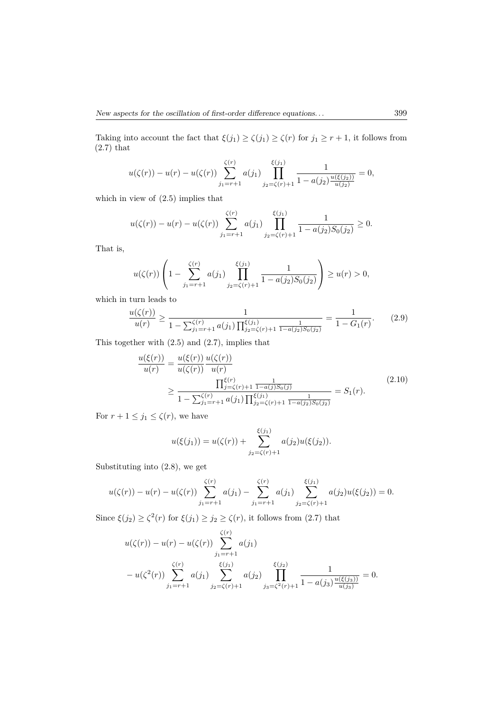Taking into account the fact that  $\xi(j_1) \ge \zeta(j_1) \ge \zeta(r)$  for  $j_1 \ge r+1$ , it follows from  $(2.7)$  that

$$
u(\zeta(r)) - u(r) - u(\zeta(r)) \sum_{j_1 = r+1}^{\zeta(r)} a(j_1) \prod_{j_2 = \zeta(r)+1}^{\xi(j_1)} \frac{1}{1 - a(j_2) \frac{u(\xi(j_2))}{u(j_2)}} = 0,
$$

which in view of (2.5) implies that

$$
u(\zeta(r)) - u(r) - u(\zeta(r)) \sum_{j_1 = r+1}^{\zeta(r)} a(j_1) \prod_{j_2 = \zeta(r)+1}^{\xi(j_1)} \frac{1}{1 - a(j_2)S_0(j_2)} \ge 0.
$$

That is,

$$
u(\zeta(r))\left(1-\sum_{j_1=r+1}^{\zeta(r)}a(j_1)\prod_{j_2=\zeta(r)+1}^{\xi(j_1)}\frac{1}{1-a(j_2)S_0(j_2)}\right)\geq u(r)>0,
$$

which in turn leads to

$$
\frac{u(\zeta(r))}{u(r)} \ge \frac{1}{1 - \sum_{j_1 = r+1}^{\zeta(r)} a(j_1) \prod_{j_2 = \zeta(r)+1}^{\xi(j_1)} \frac{1}{1 - a(j_2) S_0(j_2)}} = \frac{1}{1 - G_1(r)}.
$$
 (2.9)

This together with (2.5) and (2.7), implies that

$$
\frac{u(\xi(r))}{u(r)} = \frac{u(\xi(r))}{u(\zeta(r))} \frac{u(\zeta(r))}{u(r)} \n\geq \frac{\prod_{j=\zeta(r)+1}^{\xi(r)} \frac{1}{1-a(j)S_0(j)}}{1-\sum_{j_1=r+1}^{\zeta(r)} a(j_1) \prod_{j_2=\zeta(r)+1}^{\xi(j_1)} \frac{1}{1-a(j_2)S_0(j_2)}} = S_1(r).
$$
\n(2.10)

For  $r + 1 \le j_1 \le \zeta(r)$ , we have

$$
u(\xi(j_1)) = u(\zeta(r)) + \sum_{j_2=\zeta(r)+1}^{\xi(j_1)} a(j_2)u(\xi(j_2)).
$$

Substituting into (2.8), we get

$$
u(\zeta(r)) - u(r) - u(\zeta(r)) \sum_{j_1 = r+1}^{\zeta(r)} a(j_1) - \sum_{j_1 = r+1}^{\zeta(r)} a(j_1) \sum_{j_2 = \zeta(r)+1}^{\xi(j_1)} a(j_2) u(\xi(j_2)) = 0.
$$

Since  $\xi(j_2) \ge \zeta^2(r)$  for  $\xi(j_1) \ge j_2 \ge \zeta(r)$ , it follows from (2.7) that

$$
u(\zeta(r)) - u(r) - u(\zeta(r)) \sum_{j_1 = r+1}^{\zeta(r)} a(j_1)
$$
  
- 
$$
u(\zeta^2(r)) \sum_{j_1 = r+1}^{\zeta(r)} a(j_1) \sum_{j_2 = \zeta(r)+1}^{\zeta(j_1)} a(j_2) \prod_{j_3 = \zeta^2(r)+1}^{\zeta(j_2)} \frac{1}{1 - a(j_3) \frac{u(\zeta(j_3))}{u(j_3)}} = 0.
$$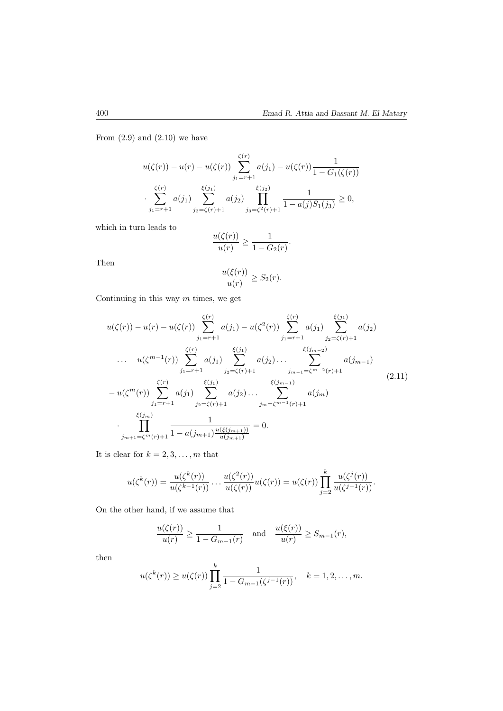From  $(2.9)$  and  $(2.10)$  we have

$$
u(\zeta(r)) - u(r) - u(\zeta(r)) \sum_{j_1 = r+1}^{\zeta(r)} a(j_1) - u(\zeta(r)) \frac{1}{1 - G_1(\zeta(r))}
$$

$$
\cdot \sum_{j_1 = r+1}^{\zeta(r)} a(j_1) \sum_{j_2 = \zeta(r)+1}^{\xi(j_1)} a(j_2) \prod_{j_3 = \zeta^2(r)+1}^{\zeta(j_2)} \frac{1}{1 - a(j)S_1(j_3)} \ge 0,
$$

which in turn leads to

$$
\frac{u(\zeta(r))}{u(r)} \ge \frac{1}{1 - G_2(r)}.
$$

Then

$$
\frac{u(\xi(r))}{u(r)} \ge S_2(r).
$$

Continuing in this way *m* times, we get

$$
u(\zeta(r)) - u(r) - u(\zeta(r)) \sum_{j_1 = r+1}^{\zeta(r)} a(j_1) - u(\zeta^2(r)) \sum_{j_1 = r+1}^{\zeta(r)} a(j_1) \sum_{j_2 = \zeta(r)+1}^{\zeta(j_1)} a(j_2)
$$
  

$$
- \dots - u(\zeta^{m-1}(r)) \sum_{j_1 = r+1}^{\zeta(r)} a(j_1) \sum_{j_2 = \zeta(r)+1}^{\zeta(j_1)} a(j_2) \dots \sum_{j_{m-1} = \zeta^{m-2}(r)+1}^{\zeta(j_{m-2})} a(j_{m-1})
$$
  

$$
- u(\zeta^m(r)) \sum_{j_1 = r+1}^{\zeta(r)} a(j_1) \sum_{j_2 = \zeta(r)+1}^{\zeta(j_1)} a(j_2) \dots \sum_{j_m = \zeta^{m-1}(r)+1}^{\zeta(j_{m-1})} a(j_m)
$$
  

$$
\cdot \prod_{j_{m+1} = \zeta^m(r)+1}^{\zeta(j_m)} \frac{1}{1 - a(j_{m+1}) \frac{u(\xi(j_{m+1}))}{u(j_{m+1})}} = 0.
$$
 (2.11)

It is clear for  $k = 2, 3, \ldots, m$  that

$$
u(\zeta^{k}(r)) = \frac{u(\zeta^{k}(r))}{u(\zeta^{k-1}(r))} \cdots \frac{u(\zeta^{2}(r))}{u(\zeta(r))} u(\zeta(r)) = u(\zeta(r)) \prod_{j=2}^{k} \frac{u(\zeta^{j}(r))}{u(\zeta^{j-1}(r))}.
$$

On the other hand, if we assume that

$$
\frac{u(\zeta(r))}{u(r)} \ge \frac{1}{1 - G_{m-1}(r)} \quad \text{and} \quad \frac{u(\xi(r))}{u(r)} \ge S_{m-1}(r),
$$

then

$$
u(\zeta^k(r)) \ge u(\zeta(r)) \prod_{j=2}^k \frac{1}{1 - G_{m-1}(\zeta^{j-1}(r))}, \quad k = 1, 2, ..., m.
$$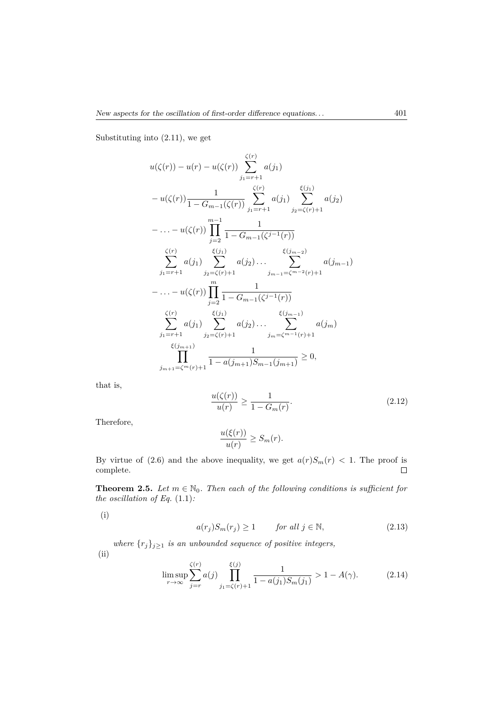Substituting into (2.11), we get

$$
u(\zeta(r)) - u(r) - u(\zeta(r)) \sum_{j_1 = r+1}^{\zeta(r)} a(j_1)
$$
  
\n
$$
- u(\zeta(r)) \frac{1}{1 - G_{m-1}(\zeta(r))} \sum_{j_1 = r+1}^{\zeta(r)} a(j_1) \sum_{j_2 = \zeta(r)+1}^{\zeta(j_1)} a(j_2)
$$
  
\n
$$
- \dots - u(\zeta(r)) \prod_{j=2}^{m-1} \frac{1}{1 - G_{m-1}(\zeta^{j-1}(r))}
$$
  
\n
$$
\sum_{j_1 = r+1}^{\zeta(r)} a(j_1) \sum_{j_2 = \zeta(r)+1}^{\zeta(j_1)} a(j_2) \dots \sum_{j_{m-1} = \zeta^{m-2}(r)+1}^{\zeta(j_{m-2})} a(j_{m-1})
$$
  
\n
$$
- \dots - u(\zeta(r)) \prod_{j=2}^{m} \frac{1}{1 - G_{m-1}(\zeta^{j-1}(r))}
$$
  
\n
$$
\sum_{j_1 = r+1}^{\zeta(r)} a(j_1) \sum_{j_2 = \zeta(r)+1}^{\zeta(j_1)} a(j_2) \dots \sum_{j_m = \zeta^{m-1}(r)+1}^{\zeta(j_{m-1})} a(j_m)
$$
  
\n
$$
\prod_{j_{m+1} = \zeta^{m}(r)+1}^{\zeta(j_{m+1})} \frac{1}{1 - a(j_{m+1}) S_{m-1}(j_{m+1})} \ge 0,
$$

that is,

$$
\frac{u(\zeta(r))}{u(r)} \ge \frac{1}{1 - G_m(r)}.\tag{2.12}
$$

Therefore,

$$
\frac{u(\xi(r))}{u(r)} \ge S_m(r).
$$

By virtue of (2.6) and the above inequality, we get  $a(r)S_m(r) < 1$ . The proof is complete. complete.

**Theorem 2.5.** *Let*  $m \in \mathbb{N}_0$ *. Then each of the following conditions is sufficient for the oscillation of Eq.* (1.1)*:*

(i)

$$
a(r_j)S_m(r_j) \ge 1 \qquad \text{for all } j \in \mathbb{N}, \tag{2.13}
$$

*where*  $\{r_j\}_{j\geq 1}$  *is an unbounded sequence of positive integers,* (ii)

$$
\limsup_{r \to \infty} \sum_{j=r}^{\zeta(r)} a(j) \prod_{j_1=\zeta(r)+1}^{\xi(j)} \frac{1}{1 - a(j_1)S_m(j_1)} > 1 - A(\gamma). \tag{2.14}
$$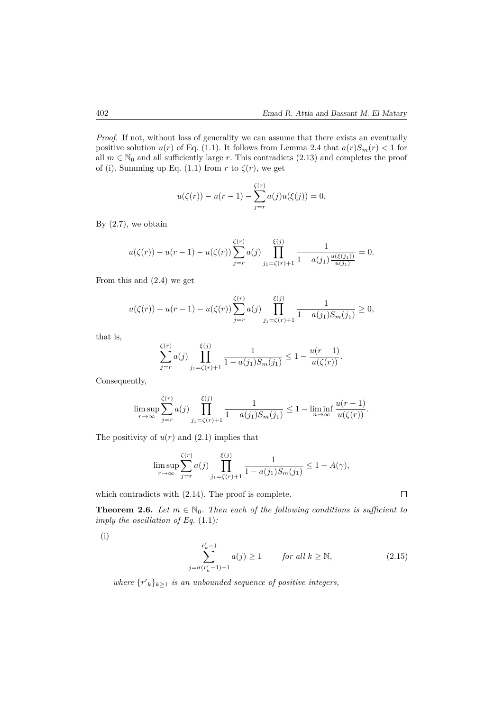*Proof.* If not, without loss of generality we can assume that there exists an eventually positive solution  $u(r)$  of Eq. (1.1). It follows from Lemma 2.4 that  $a(r)S_m(r) < 1$  for all  $m \in \mathbb{N}_0$  and all sufficiently large *r*. This contradicts (2.13) and completes the proof of (i). Summing up Eq. (1.1) from  $r$  to  $\zeta(r)$ , we get

$$
u(\zeta(r)) - u(r-1) - \sum_{j=r}^{\zeta(r)} a(j)u(\xi(j)) = 0.
$$

By  $(2.7)$ , we obtain

$$
u(\zeta(r)) - u(r-1) - u(\zeta(r)) \sum_{j=r}^{\zeta(r)} a(j) \prod_{j_1=\zeta(r)+1}^{\xi(j)} \frac{1}{1 - a(j_1) \frac{u(\xi(j_1))}{u(j_1)}} = 0.
$$

From this and (2.4) we get

$$
u(\zeta(r)) - u(r-1) - u(\zeta(r)) \sum_{j=r}^{\zeta(r)} a(j) \prod_{j_1=\zeta(r)+1}^{\xi(j)} \frac{1}{1 - a(j_1)S_m(j_1)} \ge 0,
$$

that is,

$$
\sum_{j=r}^{\zeta(r)} a(j) \prod_{j_1=\zeta(r)+1}^{\xi(j)} \frac{1}{1-a(j_1)S_m(j_1)} \le 1 - \frac{u(r-1)}{u(\zeta(r))}.
$$

Consequently,

$$
\limsup_{r \to \infty} \sum_{j=r}^{\zeta(r)} a(j) \prod_{j_1=\zeta(r)+1}^{\xi(j)} \frac{1}{1 - a(j_1)S_m(j_1)} \le 1 - \liminf_{n \to \infty} \frac{u(r-1)}{u(\zeta(r))}.
$$

The positivity of  $u(r)$  and  $(2.1)$  implies that

$$
\limsup_{r \to \infty} \sum_{j=r}^{\zeta(r)} a(j) \prod_{j_1 = \zeta(r)+1}^{\xi(j)} \frac{1}{1 - a(j_1)S_m(j_1)} \le 1 - A(\gamma),
$$

which contradicts with (2.14). The proof is complete.

**Theorem 2.6.** *Let*  $m \in \mathbb{N}_0$ *. Then each of the following conditions is sufficient to imply the oscillation of Eq.* (1.1)*:*

(i)

$$
\sum_{j=\sigma(r'_k-1)+1}^{r'_k-1} a(j) \ge 1 \qquad \text{for all } k \ge \mathbb{N}, \tag{2.15}
$$

*where*  $\{r'_{k}\}_{k\geq1}$  *is an unbounded sequence of positive integers,* 

 $\Box$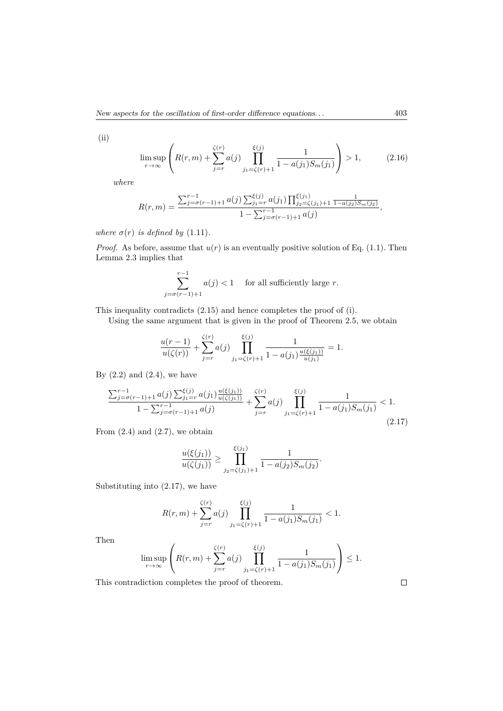(ii)

$$
\limsup_{r \to \infty} \left( R(r, m) + \sum_{j=r}^{\zeta(r)} a(j) \prod_{j_1=\zeta(r)+1}^{\xi(j)} \frac{1}{1 - a(j_1)S_m(j_1)} \right) > 1, \quad (2.16)
$$

*where*

$$
R(r,m) = \frac{\sum_{j=\sigma(r-1)+1}^{r-1} a(j) \sum_{j_1=r}^{\xi(j)} a(j_1) \prod_{j_2=\zeta(j_1)+1}^{\xi(j_1)} \frac{1}{1-a(j_2)S_m(j_2)}}{1-\sum_{j=\sigma(r-1)+1}^{r-1} a(j)},
$$

*where*  $\sigma(r)$  *is defined by* (1.11)*.* 

*Proof.* As before, assume that  $u(r)$  is an eventually positive solution of Eq. (1.1). Then Lemma 2.3 implies that

$$
\sum_{j=\sigma(r-1)+1}^{r-1} a(j) < 1 \quad \text{for all sufficiently large } r.
$$

This inequality contradicts (2.15) and hence completes the proof of (i).

Using the same argument that is given in the proof of Theorem 2.5, we obtain

$$
\frac{u(r-1)}{u(\zeta(r))} + \sum_{j=r}^{\zeta(r)} a(j) \prod_{j_1=\zeta(r)+1}^{\xi(j)} \frac{1}{1 - a(j_1) \frac{u(\xi(j_1))}{u(j_1)}} = 1.
$$

By  $(2.2)$  and  $(2.4)$ , we have

$$
\frac{\sum_{j=\sigma(r-1)+1}^{r-1} a(j) \sum_{j_1=r}^{\xi(j)} a(j_1) \frac{u(\xi(j_1))}{u(\zeta(j_1))}}{1 - \sum_{j=\sigma(r-1)+1}^{r-1} a(j)} + \sum_{j=r}^{\zeta(r)} a(j) \prod_{j_1=\zeta(r)+1}^{\xi(j)} \frac{1}{1 - a(j_1)S_m(j_1)} < 1.
$$
\n(2.17)

From  $(2.4)$  and  $(2.7)$ , we obtain

$$
\frac{u(\xi(j_1))}{u(\zeta(j_1))} \ge \prod_{j_2=\zeta(j_1)+1}^{\xi(j_1)} \frac{1}{1-a(j_2)S_m(j_2)}.
$$

Substituting into (2.17), we have

$$
R(r, m) + \sum_{j=r}^{\zeta(r)} a(j) \prod_{j_1=\zeta(r)+1}^{\xi(j)} \frac{1}{1 - a(j_1)S_m(j_1)} < 1.
$$

Then

$$
\limsup_{r \to \infty} \left( R(r, m) + \sum_{j=r}^{\zeta(r)} a(j) \prod_{j_1 = \zeta(r)+1}^{\xi(j)} \frac{1}{1 - a(j_1)S_m(j_1)} \right) \le 1.
$$

This contradiction completes the proof of theorem.

 $\Box$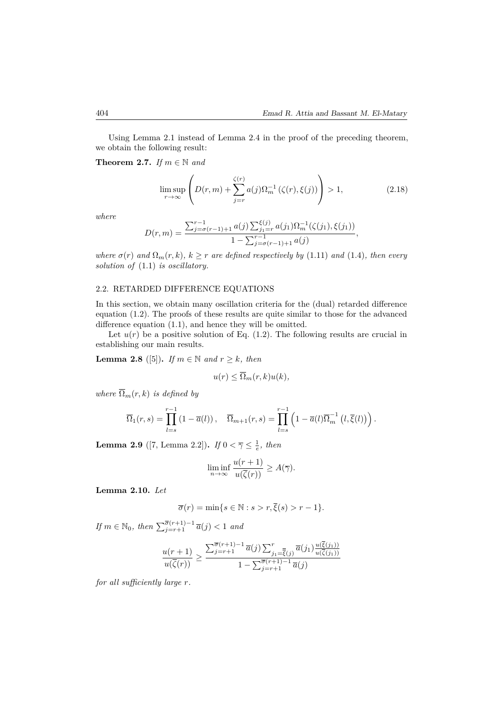Using Lemma 2.1 instead of Lemma 2.4 in the proof of the preceding theorem, we obtain the following result:

**Theorem 2.7.** *If*  $m \in \mathbb{N}$  *and* 

$$
\limsup_{r \to \infty} \left( D(r, m) + \sum_{j=r}^{\zeta(r)} a(j) \Omega_m^{-1} \left( \zeta(r), \xi(j) \right) \right) > 1,
$$
\n(2.18)

*where*

$$
D(r,m) = \frac{\sum_{j=\sigma(r-1)+1}^{r-1} a(j) \sum_{j_1=r}^{\xi(j)} a(j_1) \Omega_m^{-1}(\zeta(j_1), \xi(j_1))}{1 - \sum_{j=\sigma(r-1)+1}^{r-1} a(j)},
$$

*where*  $\sigma(r)$  *and*  $\Omega_m(r, k)$ *,*  $k \geq r$  *are defined respectively by* (1.11) *and* (1.4)*, then every solution of* (1.1) *is oscillatory.*

### 2.2. RETARDED DIFFERENCE EQUATIONS

In this section, we obtain many oscillation criteria for the (dual) retarded difference equation (1.2). The proofs of these results are quite similar to those for the advanced difference equation (1.1), and hence they will be omitted.

Let  $u(r)$  be a positive solution of Eq.  $(1.2)$ . The following results are crucial in establishing our main results.

**Lemma 2.8** ([5]). *If*  $m \in \mathbb{N}$  *and*  $r \geq k$ *, then* 

$$
u(r) \leq \overline{\Omega}_m(r,k)u(k),
$$

*where*  $\overline{\Omega}_m(r,k)$  *is defined by* 

$$
\overline{\Omega}_1(r,s) = \prod_{l=s}^{r-1} (1 - \overline{a}(l)), \quad \overline{\Omega}_{m+1}(r,s) = \prod_{l=s}^{r-1} \left(1 - \overline{a}(l)\overline{\Omega}_m^{-1}(l,\overline{\xi}(l))\right).
$$

**Lemma 2.9** ([7, Lemma 2.2]). *If*  $0 < \overline{\gamma} \le \frac{1}{e}$ , then

$$
\liminf_{n \to \infty} \frac{u(r+1)}{u(\overline{\zeta}(r))} \ge A(\overline{\gamma}).
$$

**Lemma 2.10.** *Let*

$$
\overline{\sigma}(r) = \min\{s \in \mathbb{N} : s > r, \overline{\xi}(s) > r - 1\}.
$$

 $If \ m \in \mathbb{N}_0$ , then  $\sum_{j=r+1}^{\overline{\sigma}(r+1)-1} \overline{a}(j) < 1$  and

$$
\frac{u(r+1)}{u(\overline{\zeta}(r))} \ge \frac{\sum_{j=r+1}^{\overline{\sigma}(r+1)-1} \overline{a}(j) \sum_{j_1=\overline{\zeta}(j)}^r \overline{a}(j_1) \frac{u(\overline{\zeta}(j_1))}{u(\overline{\zeta}(j_1))}}{1 - \sum_{j=r+1}^{\overline{\sigma}(r+1)-1} \overline{a}(j)}
$$

*for all sufficiently large r.*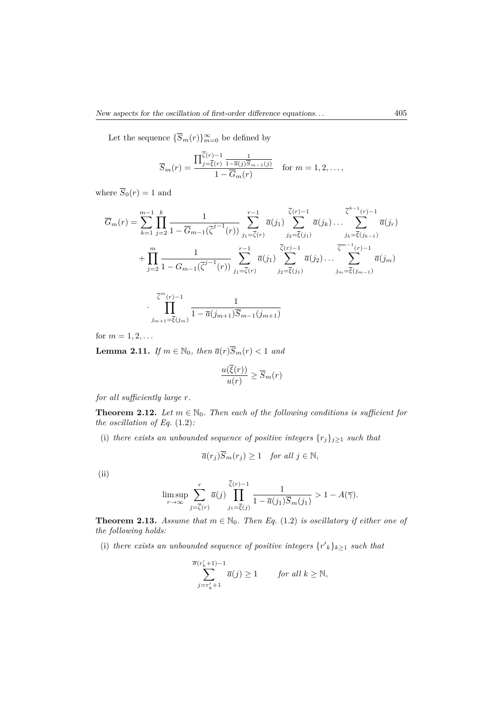Let the sequence  ${\overline{S}_m(r)}_{m=0}^{\infty}$  be defined by

$$
\overline{S}_m(r) = \frac{\prod_{j=\overline{\xi}(r)}^{\overline{\zeta}(r)-1} \frac{1}{1-\overline{\alpha}(j)\overline{S}_{m-1}(j)}}{1-\overline{G}_m(r)} \quad \text{for } m = 1, 2, \dots,
$$

where  $\overline{S}_0(r) = 1$  and

$$
\overline{G}_{m}(r) = \sum_{k=1}^{m-1} \prod_{j=2}^{k} \frac{1}{1 - \overline{G}_{m-1}(\overline{\zeta}^{j-1}(r))} \sum_{j_1 = \overline{\zeta}(r)}^{r-1} \overline{a}(j_1) \sum_{j_2 = \overline{\zeta}(j_1)}^{\overline{\zeta}(r)-1} \overline{a}(j_k) \dots \sum_{j_k = \overline{\zeta}(j_{k-1})}^{\overline{\zeta}^{k-1}(r)-1} \overline{a}(j_r)
$$
  
+ 
$$
\prod_{j=2}^{m} \frac{1}{1 - G_{m-1}(\overline{\zeta}^{j-1}(r))} \sum_{j_1 = \overline{\zeta}(r)}^{r-1} \overline{a}(j_1) \sum_{j_2 = \overline{\zeta}(j_1)}^{\overline{\zeta}(r)-1} \overline{a}(j_2) \dots \sum_{j_m = \overline{\zeta}(j_{m-1})}^{\overline{\zeta}^{m-1}(r)-1} \overline{a}(j_m)
$$

$$
\prod_{j_{m+1}=\overline{\xi}(j_m)}^{\overline{\zeta}^m(r)-1} \frac{1}{1-\overline{a}(j_{m+1})\overline{S}_{m-1}(j_{m+1})}
$$

for  $m = 1, 2, ...$ 

**Lemma 2.11.** *If*  $m \in \mathbb{N}_0$ *, then*  $\overline{a}(r)\overline{S}_m(r) < 1$  *and* 

$$
\frac{u(\xi(r))}{u(r)} \ge \overline{S}_m(r)
$$

*for all sufficiently large r.*

·

**Theorem 2.12.** *Let*  $m \in \mathbb{N}_0$ *. Then each of the following conditions is sufficient for the oscillation of Eq.* (1.2)*:*

(i) *there exists an unbounded sequence of positive integers*  $\{r_j\}_{j\geq 1}$  *such that* 

$$
\overline{a}(r_j)\overline{S}_m(r_j) \ge 1 \quad \text{for all } j \in \mathbb{N},
$$

(ii)

$$
\limsup_{r \to \infty} \sum_{j=\overline{\zeta}(r)}^{r} \overline{a}(j) \prod_{j_1=\overline{\zeta}(j)}^{\overline{\zeta}(r)-1} \frac{1}{1-\overline{a}(j_1)\overline{S}_m(j_1)} > 1 - A(\overline{\gamma}).
$$

**Theorem 2.13.** *Assume that*  $m \in \mathbb{N}_0$ *. Then Eq.* (1.2) *is oscillatory if either one of the following holds:*

(i) *there exists an unbounded sequence of positive integers*  $\{r'_{k}\}_{k\geq1}$  *such that* 

$$
\sum_{j=r'_k+1}^{\overline{\sigma}(r'_k+1)-1} \overline{a}(j) \ge 1 \quad \text{for all } k \ge \mathbb{N},
$$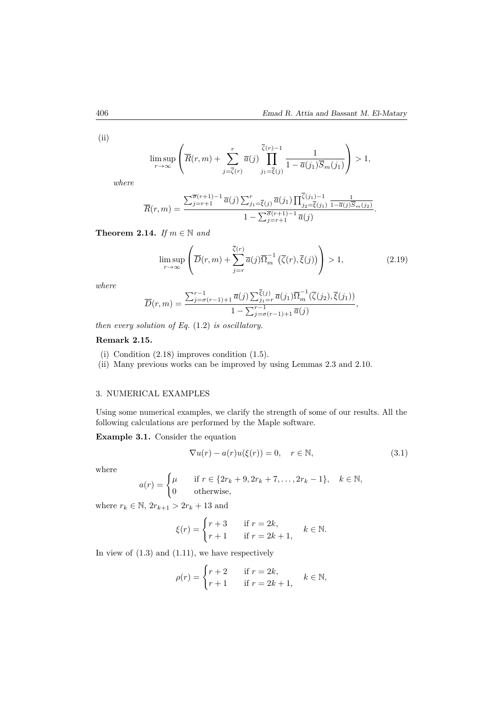(ii)

$$
\limsup_{r \to \infty} \left( \overline{R}(r,m) + \sum_{j=\overline{\zeta}(r)}^{r} \overline{a}(j) \prod_{j_1=\overline{\zeta}(j)}^{\overline{\zeta}(r)-1} \frac{1}{1 - \overline{a}(j_1)\overline{S}_m(j_1)} \right) > 1,
$$

*where*

$$
\overline{R}(r,m) = \frac{\sum_{j=r+1}^{\overline{\sigma}(r+1)-1} \overline{a}(j) \sum_{j_1=\overline{\xi}(j)}^r \overline{a}(j_1) \prod_{j_2=\overline{\xi}(j_1)}^{\overline{\zeta}(j_1)-1} \frac{1}{1-\overline{a}(j)\overline{S}_m(j_2)}}{1-\sum_{j=r+1}^{\overline{\sigma}(r+1)-1} \overline{a}(j)}.
$$

**Theorem 2.14.** *If*  $m \in \mathbb{N}$  *and* 

$$
\limsup_{r \to \infty} \left( \overline{D}(r,m) + \sum_{j=r}^{\overline{\zeta}(r)} \overline{a}(j) \overline{\Omega}_m^{-1} \left( \overline{\zeta}(r), \overline{\xi}(j) \right) \right) > 1,
$$
\n(2.19)

*where*

$$
\overline{D}(r,m) = \frac{\sum_{j=\sigma(r-1)+1}^{r-1} \overline{a}(j) \sum_{j_1=r}^{\overline{\xi}(j)} \overline{a}(j_1) \overline{\Omega}_m^{-1}(\overline{\zeta}(j_2), \overline{\xi}(j_1))}{1 - \sum_{j=\sigma(r-1)+1}^{r-1} \overline{a}(j)},
$$

*then every solution of Eq.* (1.2) *is oscillatory.*

# **Remark 2.15.**

- (i) Condition (2.18) improves condition (1.5).
- (ii) Many previous works can be improved by using Lemmas 2.3 and 2.10.

## 3. NUMERICAL EXAMPLES

Using some numerical examples, we clarify the strength of some of our results. All the following calculations are performed by the Maple software.

**Example 3.1.** Consider the equation

$$
\nabla u(r) - a(r)u(\xi(r)) = 0, \quad r \in \mathbb{N},
$$
\n(3.1)

where

$$
a(r) = \begin{cases} \mu & \text{if } r \in \{2r_k + 9, 2r_k + 7, \dots, 2r_k - 1\}, \quad k \in \mathbb{N}, \\ 0 & \text{otherwise}, \end{cases}
$$

where  $r_k \in \mathbb{N}, 2r_{k+1} > 2r_k + 13$  and

$$
\xi(r) = \begin{cases} r+3 & \text{if } r = 2k, \\ r+1 & \text{if } r = 2k+1, \end{cases} \quad k \in \mathbb{N}.
$$

In view of  $(1.3)$  and  $(1.11)$ , we have respectively

$$
\rho(r) = \begin{cases} r+2 & \text{if } r = 2k, \\ r+1 & \text{if } r = 2k+1, \end{cases} \quad k \in \mathbb{N},
$$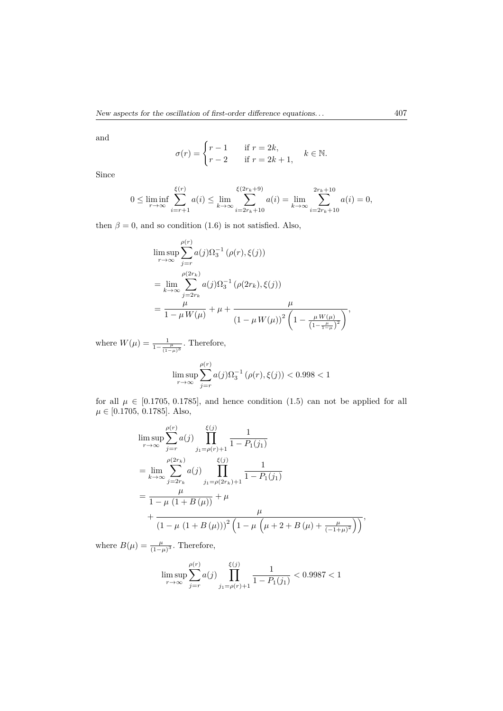and

$$
\sigma(r) = \begin{cases} r - 1 & \text{if } r = 2k, \\ r - 2 & \text{if } r = 2k + 1, \end{cases} \quad k \in \mathbb{N}.
$$

Since

$$
0 \le \liminf_{r \to \infty} \sum_{i=r+1}^{\xi(r)} a(i) \le \lim_{k \to \infty} \sum_{i=2r_k+10}^{\xi(2r_k+9)} a(i) = \lim_{k \to \infty} \sum_{i=2r_k+10}^{2r_k+10} a(i) = 0,
$$

then  $\beta = 0$ , and so condition (1.6) is not satisfied. Also,

$$
\limsup_{r \to \infty} \sum_{j=r}^{\rho(r)} a(j) \Omega_3^{-1} (\rho(r), \xi(j))
$$
\n
$$
= \lim_{k \to \infty} \sum_{j=2r_k}^{\rho(2r_k)} a(j) \Omega_3^{-1} (\rho(2r_k), \xi(j))
$$
\n
$$
= \frac{\mu}{1 - \mu W(\mu)} + \mu + \frac{\mu}{(1 - \mu W(\mu))^2 \left(1 - \frac{\mu W(\mu)}{(1 - \frac{\mu}{1 - \mu})^2}\right)},
$$

where  $W(\mu) = \frac{1}{1 - \frac{\mu}{(1 - \mu)^3}}$ . Therefore,

$$
\limsup_{r \to \infty} \sum_{j=r}^{\rho(r)} a(j) \Omega_3^{-1} (\rho(r), \xi(j)) < 0.998 < 1
$$

for all  $\mu \in [0.1705, 0.1785]$ , and hence condition  $(1.5)$  can not be applied for all  $\mu \in [0.1705, 0.1785]$ . Also,

$$
\limsup_{r \to \infty} \sum_{j=r}^{\rho(r)} a(j) \prod_{j_1 = \rho(r)+1}^{\xi(j)} \frac{1}{1 - P_1(j_1)}
$$
\n
$$
= \lim_{k \to \infty} \sum_{j=2r_k}^{\rho(2r_k)} a(j) \prod_{j_1 = \rho(2r_k)+1}^{\xi(j)} \frac{1}{1 - P_1(j_1)}
$$
\n
$$
= \frac{\mu}{1 - \mu (1 + B(\mu))} + \mu
$$
\n
$$
+ \frac{\mu}{(1 - \mu (1 + B(\mu)))^2 (1 - \mu (\mu + 2 + B(\mu) + \frac{\mu}{(-1 + \mu)^2}))},
$$

where  $B(\mu) = \frac{\mu}{(1-\mu)^3}$ . Therefore,

$$
\limsup_{r \to \infty} \sum_{j=r}^{\rho(r)} a(j) \prod_{j_1 = \rho(r)+1}^{\xi(j)} \frac{1}{1 - P_1(j_1)} < 0.9987 < 1
$$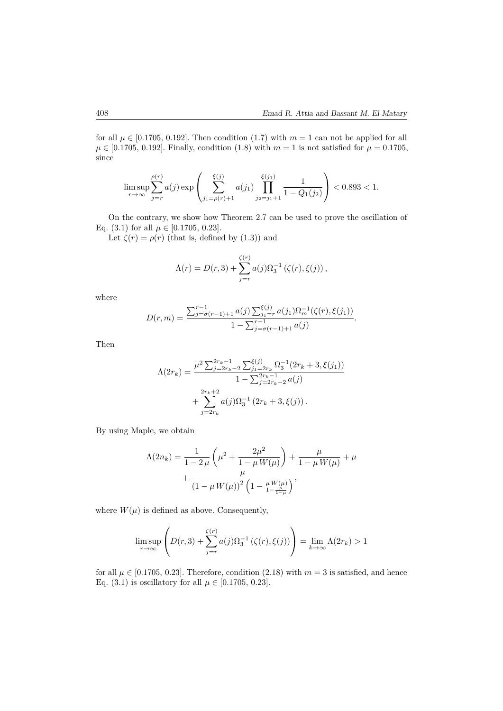for all  $\mu \in [0.1705, 0.192]$ . Then condition (1.7) with  $m = 1$  can not be applied for all  $\mu \in [0.1705, 0.192]$ . Finally, condition (1.8) with  $m = 1$  is not satisfied for  $\mu = 0.1705$ , since

$$
\limsup_{r\to\infty}\sum_{j=r}^{\rho(r)}a(j)\exp\left(\sum_{j_1=\rho(r)+1}^{\xi(j)}a(j_1)\prod_{j_2=j_1+1}^{\xi(j_1)}\frac{1}{1-Q_1(j_2)}\right)<0.893<1.
$$

On the contrary, we show how Theorem 2.7 can be used to prove the oscillation of Eq. (3.1) for all  $\mu \in [0.1705, 0.23]$ .

Let  $\zeta(r) = \rho(r)$  (that is, defined by (1.3)) and

$$
\Lambda(r) = D(r,3) + \sum_{j=r}^{\zeta(r)} a(j) \Omega_3^{-1} (\zeta(r), \xi(j)),
$$

where

$$
D(r,m) = \frac{\sum_{j=\sigma(r-1)+1}^{r-1} a(j) \sum_{j_1=r}^{\xi(j)} a(j_1) \Omega_m^{-1}(\zeta(r), \xi(j_1))}{1 - \sum_{j=\sigma(r-1)+1}^{r-1} a(j)}.
$$

Then

$$
\Lambda(2r_k) = \frac{\mu^2 \sum_{j=2r_k-1}^{2r_k-1} \sum_{j_1=2r_k}^{(\zeta(j)} \Omega_3^{-1}(2r_k+3,\xi(j_1))}{1 - \sum_{j=2r_k-1}^{2r_k-1} a(j)} + \sum_{j=2r_k}^{2r_k+2} a(j) \Omega_3^{-1}(2r_k+3,\xi(j)).
$$

By using Maple, we obtain

$$
\Lambda(2n_k) = \frac{1}{1 - 2\,\mu} \left( \mu^2 + \frac{2\mu^2}{1 - \mu W(\mu)} \right) + \frac{\mu}{1 - \mu W(\mu)} + \mu + \frac{\mu}{\left(1 - \mu W(\mu)\right)^2 \left(1 - \frac{\mu W(\mu)}{1 - \frac{\mu^2}{1 - \mu^2}}\right)},
$$

where  $W(\mu)$  is defined as above. Consequently,

$$
\limsup_{r \to \infty} \left( D(r,3) + \sum_{j=r}^{\zeta(r)} a(j) \Omega_3^{-1} \left( \zeta(r), \xi(j) \right) \right) = \lim_{k \to \infty} \Lambda(2r_k) > 1
$$

for all  $\mu \in [0.1705, 0.23]$ . Therefore, condition (2.18) with  $m = 3$  is satisfied, and hence Eq.  $(3.1)$  is oscillatory for all  $\mu \in [0.1705, 0.23]$ .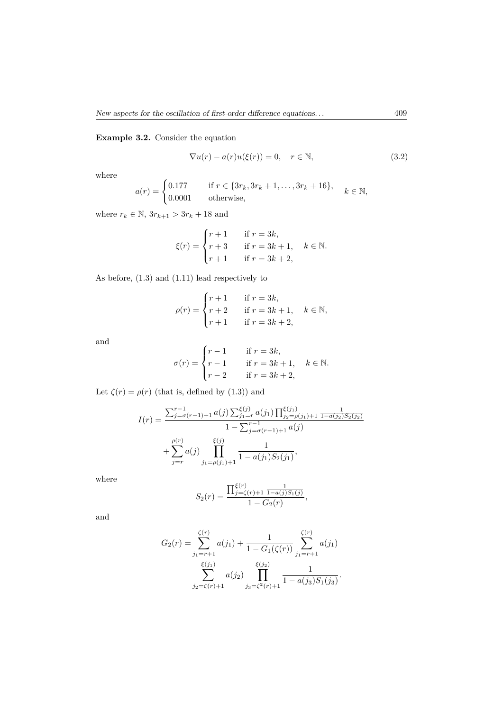**Example 3.2.** Consider the equation

$$
\nabla u(r) - a(r)u(\xi(r)) = 0, \quad r \in \mathbb{N},
$$
\n(3.2)

where

$$
a(r) = \begin{cases} 0.177 & \text{if } r \in \{3r_k, 3r_k + 1, \dots, 3r_k + 16\}, \\ 0.0001 & \text{otherwise}, \end{cases} k \in \mathbb{N},
$$

where  $r_k \in \mathbb{N}$ ,  $3r_{k+1} > 3r_k + 18$  and

$$
\xi(r) = \begin{cases} r+1 & \text{if } r = 3k, \\ r+3 & \text{if } r = 3k+1, \\ r+1 & \text{if } r = 3k+2, \end{cases} k \in \mathbb{N}.
$$

As before, (1.3) and (1.11) lead respectively to

$$
\rho(r) = \begin{cases} r+1 & \text{if } r = 3k, \\ r+2 & \text{if } r = 3k+1, \\ r+1 & \text{if } r = 3k+2, \end{cases} k \in \mathbb{N},
$$

and

$$
\sigma(r) = \begin{cases}\nr - 1 & \text{if } r = 3k, \\
r - 1 & \text{if } r = 3k + 1, \\
r - 2 & \text{if } r = 3k + 2,\n\end{cases} \quad k \in \mathbb{N}.
$$

Let  $\zeta(r) = \rho(r)$  (that is, defined by (1.3)) and

$$
I(r) = \frac{\sum_{j=\sigma(r-1)+1}^{r-1} a(j) \sum_{j_1=r}^{\xi(j)} a(j_1) \prod_{j_2=\rho(j_1)+1}^{\xi(j_1)} \frac{1}{1-a(j_2)S_2(j_2)}}{1-\sum_{j=\sigma(r-1)+1}^{r-1} a(j)} + \sum_{j=r}^{\rho(r)} a(j) \prod_{j_1=\rho(j_1)+1}^{\xi(j)} \frac{1}{1-a(j_1)S_2(j_1)},
$$

where

$$
S_2(r) = \frac{\prod_{j=\zeta(r)+1}^{\xi(r)} \frac{1}{1-a(j)S_1(j)}}{1-G_2(r)},
$$

and

$$
G_2(r) = \sum_{j_1=r+1}^{\zeta(r)} a(j_1) + \frac{1}{1 - G_1(\zeta(r))} \sum_{j_1=r+1}^{\zeta(r)} a(j_1)
$$

$$
\sum_{j_2=\zeta(r)+1}^{\xi(j_1)} a(j_2) \prod_{j_3=\zeta^2(r)+1}^{\zeta(j_2)} \frac{1}{1 - a(j_3)S_1(j_3)}.
$$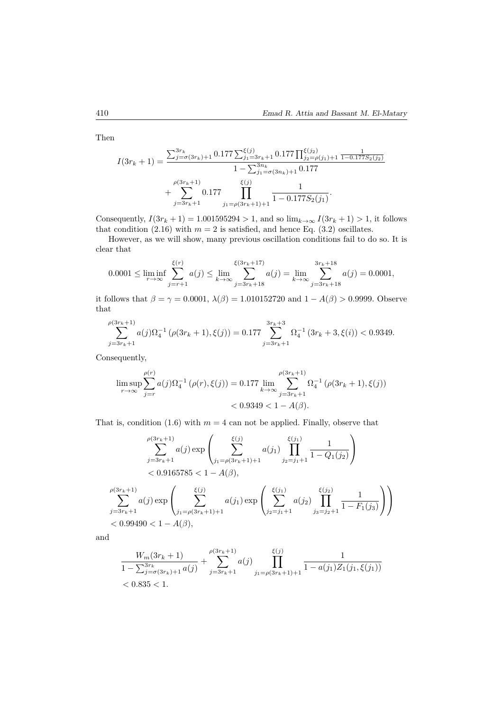Then

$$
I(3r_{k}+1) = \frac{\sum_{j=\sigma(3r_{k})+1}^{3r_{k}} 0.177 \sum_{j_{1}=3r_{k}+1}^{\xi(j)} 0.177 \prod_{j_{2}=\rho(j_{1})+1}^{\xi(j_{2})} \frac{1}{1-0.177S_{2}(j_{2})}}{1-\sum_{j_{1}=\sigma(3r_{k})+1}^{3r_{k}} 0.177} + \sum_{j=3r_{k}+1}^{\rho(3r_{k}+1)} 0.177 \prod_{j_{1}=\rho(3r_{k}+1)+1}^{1} \frac{1}{1-0.177S_{2}(j_{1})}.
$$

Consequently,  $I(3r_k + 1) = 1.001595294 > 1$ , and so  $\lim_{k\to\infty} I(3r_k + 1) > 1$ , it follows that condition  $(2.16)$  with  $m = 2$  is satisfied, and hence Eq.  $(3.2)$  oscillates.

However, as we will show, many previous oscillation conditions fail to do so. It is clear that

$$
0.0001 \le \liminf_{r \to \infty} \sum_{j=r+1}^{\xi(r)} a(j) \le \lim_{k \to \infty} \sum_{j=3r_k+18}^{\xi(3r_k+17)} a(j) = \lim_{k \to \infty} \sum_{j=3r_k+18}^{3r_k+18} a(j) = 0.0001,
$$

it follows that  $\beta = \gamma = 0.0001$ ,  $\lambda(\beta) = 1.010152720$  and  $1 - A(\beta) > 0.9999$ . Observe that

$$
\sum_{j=3r_k+1}^{\rho(3r_k+1)} a(j)\Omega_4^{-1}\left(\rho(3r_k+1),\xi(j)\right) = 0.177 \sum_{j=3r_k+1}^{3r_k+3} \Omega_4^{-1}\left(3r_k+3,\xi(i)\right) < 0.9349.
$$

Consequently,

$$
\limsup_{r \to \infty} \sum_{j=r}^{\rho(r)} a(j) \Omega_4^{-1} (\rho(r), \xi(j)) = 0.177 \lim_{k \to \infty} \sum_{j=3r_k+1}^{\rho(3r_k+1)} \Omega_4^{-1} (\rho(3r_k+1), \xi(j)) \n< 0.9349 < 1 - A(\beta).
$$

That is, condition  $(1.6)$  with  $m = 4$  can not be applied. Finally, observe that

$$
\sum_{j=3r_k+1}^{\rho(3r_k+1)} a(j) \exp\left(\sum_{j_1=\rho(3r_k+1)+1}^{\xi(j)} a(j_1) \prod_{j_2=j_1+1}^{\xi(j_1)} \frac{1}{1 - Q_1(j_2)}\right)
$$
  
< 0.9165785 < 1 - A(\beta),  

$$
\sum_{j=3r_k+1}^{\rho(3r_k+1)} a(j) \exp\left(\sum_{j_1=\rho(3r_k+1)+1}^{\xi(j)} a(j_1) \exp\left(\sum_{j_2=j_1+1}^{\xi(j_1)} a(j_2) \prod_{j_3=j_2+1}^{\xi(j_2)} \frac{1}{1 - F_1(j_3)}\right)\right)
$$
  
< 0.99490 < 1 - A(\beta),

and

$$
\frac{W_m(3r_k+1)}{1-\sum_{j=\sigma(3r_k)+1}^{3r_k}a(j)} + \sum_{j=3r_k+1}^{\rho(3r_k+1)}a(j) \prod_{j_1=\rho(3r_k+1)+1}^{\xi(j)} \frac{1}{1-a(j_1)Z_1(j_1,\xi(j_1))}
$$
  
< 0.835 < 1.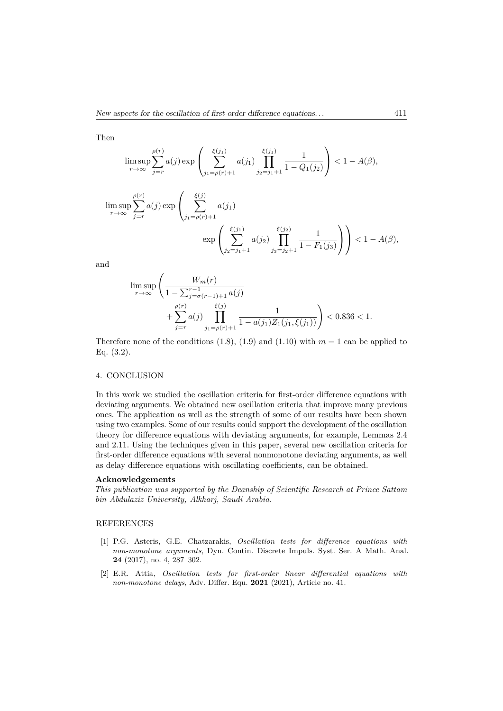Then

$$
\limsup_{r \to \infty} \sum_{j=r}^{\rho(r)} a(j) \exp \left( \sum_{j_1 = \rho(r)+1}^{\xi(j_1)} a(j_1) \prod_{j_2=j_1+1}^{\xi(j_1)} \frac{1}{1 - Q_1(j_2)} \right) < 1 - A(\beta),
$$

$$
\limsup_{r \to \infty} \sum_{j=r}^{\rho(r)} a(j) \exp \left( \sum_{j_1 = \rho(r)+1}^{\xi(j)} a(j_1) \right) \exp \left( \sum_{j_2=j_1+1}^{\xi(j_1)} a(j_2) \prod_{j_3=j_2+1}^{\xi(j_2)} \frac{1}{1 - F_1(j_3)} \right) \right) < 1 - A(\beta),
$$

and

$$
\begin{split} & \limsup_{r \to \infty} \left( \frac{W_m(r)}{1 - \sum_{j = \sigma(r-1)+1}^{r-1} a(j)} \right. \\ & \qquad \qquad + \sum_{j = r}^{\rho(r)} a(j) \prod_{j_1 = \rho(r)+1}^{\xi(j)} \frac{1}{1 - a(j_1) Z_1(j_1,\xi(j_1))} \right) < 0.836 < 1. \end{split}
$$

Therefore none of the conditions  $(1.8)$ ,  $(1.9)$  and  $(1.10)$  with  $m = 1$  can be applied to Eq. (3.2).

### 4. CONCLUSION

In this work we studied the oscillation criteria for first-order difference equations with deviating arguments. We obtained new oscillation criteria that improve many previous ones. The application as well as the strength of some of our results have been shown using two examples. Some of our results could support the development of the oscillation theory for difference equations with deviating arguments, for example, Lemmas 2.4 and 2.11. Using the techniques given in this paper, several new oscillation criteria for first-order difference equations with several nonmonotone deviating arguments, as well as delay difference equations with oscillating coefficients, can be obtained.

### **Acknowledgements**

*This publication was supported by the Deanship of Scientific Research at Prince Sattam bin Abdulaziz University, Alkharj, Saudi Arabia.*

### REFERENCES

- [1] P.G. Asteris, G.E. Chatzarakis, *Oscillation tests for difference equations with non-monotone arguments*, Dyn. Contin. Discrete Impuls. Syst. Ser. A Math. Anal. **24** (2017), no. 4, 287–302.
- [2] E.R. Attia, *Oscillation tests for first-order linear differential equations with non-monotone delays*, Adv. Differ. Equ. **2021** (2021), Article no. 41.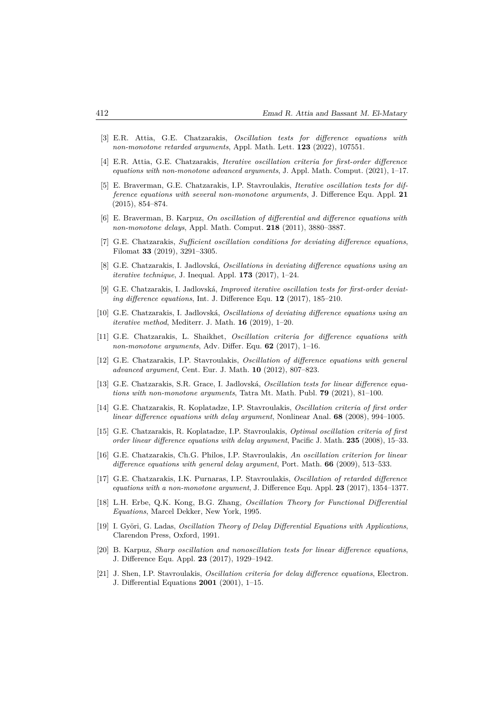- [3] E.R. Attia, G.E. Chatzarakis, *Oscillation tests for difference equations with non-monotone retarded arguments*, Appl. Math. Lett. **123** (2022), 107551.
- [4] E.R. Attia, G.E. Chatzarakis, *Iterative oscillation criteria for first-order difference equations with non-monotone advanced arguments*, J. Appl. Math. Comput. (2021), 1–17.
- [5] E. Braverman, G.E. Chatzarakis, I.P. Stavroulakis, *Iterative oscillation tests for difference equations with several non-monotone arguments*, J. Difference Equ. Appl. **21** (2015), 854–874.
- [6] E. Braverman, B. Karpuz, *On oscillation of differential and difference equations with non-monotone delays*, Appl. Math. Comput. **218** (2011), 3880–3887.
- [7] G.E. Chatzarakis, *Sufficient oscillation conditions for deviating difference equations*, Filomat **33** (2019), 3291–3305.
- [8] G.E. Chatzarakis, I. Jadlovská, *Oscillations in deviating difference equations using an iterative technique*, J. Inequal. Appl. **173** (2017), 1–24.
- [9] G.E. Chatzarakis, I. Jadlovská, *Improved iterative oscillation tests for first-order deviating difference equations*, Int. J. Difference Equ. **12** (2017), 185–210.
- [10] G.E. Chatzarakis, I. Jadlovská, *Oscillations of deviating difference equations using an iterative method*, Mediterr. J. Math. **16** (2019), 1–20.
- [11] G.E. Chatzarakis, L. Shaikhet, *Oscillation criteria for difference equations with non-monotone arguments*, Adv. Differ. Equ. **62** (2017), 1–16.
- [12] G.E. Chatzarakis, I.P. Stavroulakis, *Oscillation of difference equations with general advanced argument*, Cent. Eur. J. Math. **10** (2012), 807–823.
- [13] G.E. Chatzarakis, S.R. Grace, I. Jadlovská, *Oscillation tests for linear difference equations with non-monotone arguments*, Tatra Mt. Math. Publ. **79** (2021), 81–100.
- [14] G.E. Chatzarakis, R. Koplatadze, I.P. Stavroulakis, *Oscillation criteria of first order linear difference equations with delay argument*, Nonlinear Anal. **68** (2008), 994–1005.
- [15] G.E. Chatzarakis, R. Koplatadze, I.P. Stavroulakis, *Optimal oscillation criteria of first order linear difference equations with delay argument*, Pacific J. Math. **235** (2008), 15–33.
- [16] G.E. Chatzarakis, Ch.G. Philos, I.P. Stavroulakis, *An oscillation criterion for linear difference equations with general delay argument*, Port. Math. **66** (2009), 513–533.
- [17] G.E. Chatzarakis, I.K. Purnaras, I.P. Stavroulakis, *Oscillation of retarded difference equations with a non-monotone argument*, J. Difference Equ. Appl. **23** (2017), 1354–1377.
- [18] L.H. Erbe, Q.K. Kong, B.G. Zhang, *Oscillation Theory for Functional Differential Equations*, Marcel Dekker, New York, 1995.
- [19] I. Györi, G. Ladas, *Oscillation Theory of Delay Differential Equations with Applications*, Clarendon Press, Oxford, 1991.
- [20] B. Karpuz, *Sharp oscillation and nonoscillation tests for linear difference equations*, J. Difference Equ. Appl. **23** (2017), 1929–1942.
- [21] J. Shen, I.P. Stavroulakis, *Oscillation criteria for delay difference equations*, Electron. J. Differential Equations **2001** (2001), 1–15.